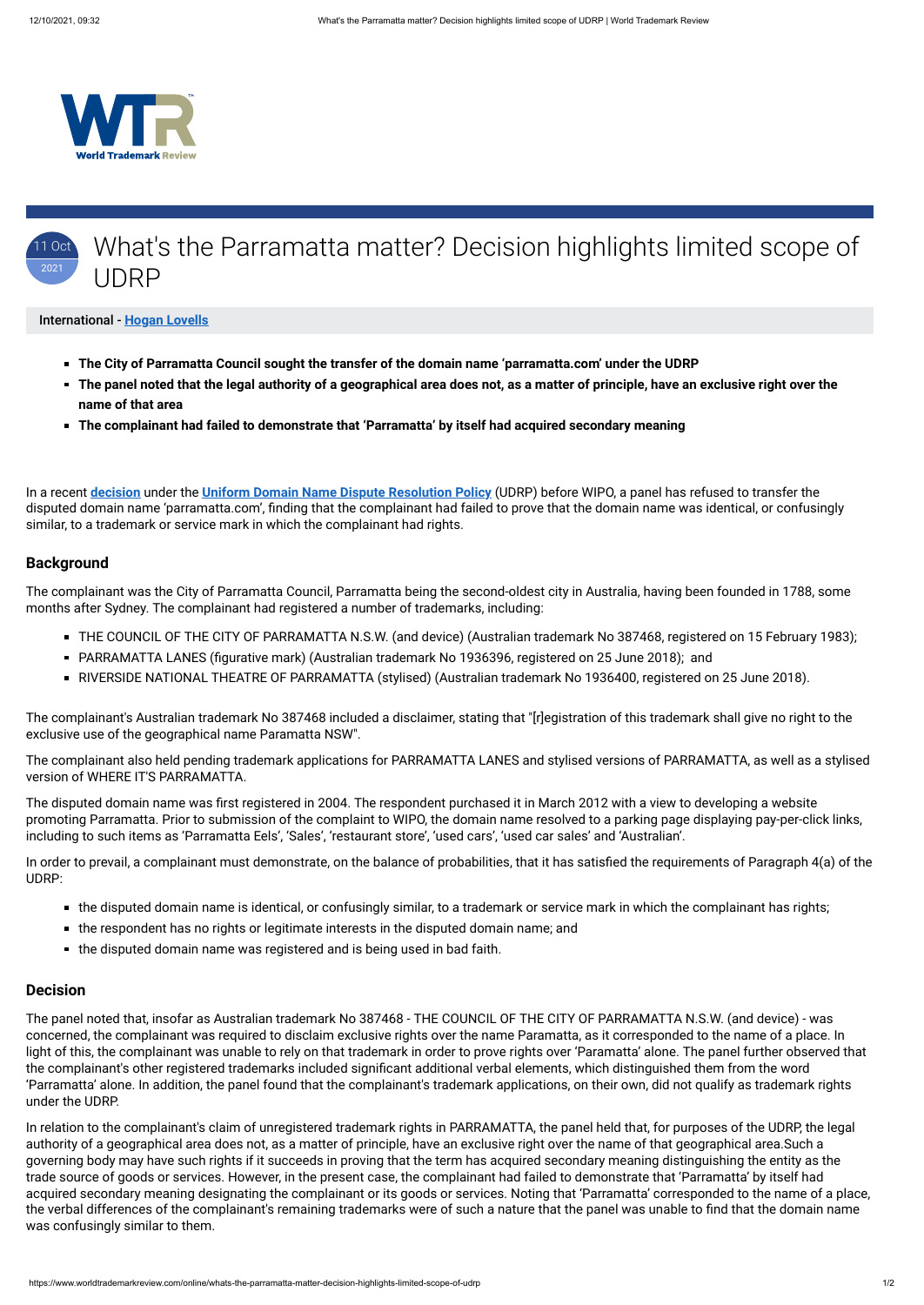



#### International - **[Hogan Lovells](https://www.worldtrademarkreview.com/Daily/Contributors#France)**

- **The City of Parramatta Council sought the transfer of the domain name 'parramatta.com' under the UDRP**
- **The panel noted that the legal authority of a geographical area does not, as a matter of principle, have an exclusive right over the name of that area**
- **The complainant had failed to demonstrate that 'Parramatta' by itself had acquired secondary meaning**

In a recent **[decision](https://www.wipo.int/amc/en/domains/search/text.jsp?case=D2021-0773)** under the **[Uniform Domain Name Dispute Resolution Policy](https://www.icann.org/resources/pages/help/dndr/udrp-en)** (UDRP) before WIPO, a panel has refused to transfer the disputed domain name 'parramatta.com', finding that the complainant had failed to prove that the domain name was identical, or confusingly similar, to a trademark or service mark in which the complainant had rights.

### **Background**

The complainant was the City of Parramatta Council, Parramatta being the second-oldest city in Australia, having been founded in 1788, some months after Sydney. The complainant had registered a number of trademarks, including:

- THE COUNCIL OF THE CITY OF PARRAMATTA N.S.W. (and device) (Australian trademark No 387468, registered on 15 February 1983);
- PARRAMATTA LANES (figurative mark) (Australian trademark No 1936396, registered on 25 June 2018); and
- RIVERSIDE NATIONAL THEATRE OF PARRAMATTA (stylised) (Australian trademark No 1936400, registered on 25 June 2018).

The complainant's Australian trademark No 387468 included a disclaimer, stating that "[r]egistration of this trademark shall give no right to the exclusive use of the geographical name Paramatta NSW".

The complainant also held pending trademark applications for PARRAMATTA LANES and stylised versions of PARRAMATTA, as well as a stylised version of WHERE IT'S PARRAMATTA.

The disputed domain name was first registered in 2004. The respondent purchased it in March 2012 with a view to developing a website promoting Parramatta. Prior to submission of the complaint to WIPO, the domain name resolved to a parking page displaying pay-per-click links, including to such items as 'Parramatta Eels', 'Sales', 'restaurant store', 'used cars', 'used car sales' and 'Australian'.

In order to prevail, a complainant must demonstrate, on the balance of probabilities, that it has satisfied the requirements of Paragraph 4(a) of the UDRP:

- the disputed domain name is identical, or confusingly similar, to a trademark or service mark in which the complainant has rights;
- the respondent has no rights or legitimate interests in the disputed domain name; and
- the disputed domain name was registered and is being used in bad faith.

#### **Decision**

The panel noted that, insofar as Australian trademark No 387468 - THE COUNCIL OF THE CITY OF PARRAMATTA N.S.W. (and device) - was concerned, the complainant was required to disclaim exclusive rights over the name Paramatta, as it corresponded to the name of a place. In light of this, the complainant was unable to rely on that trademark in order to prove rights over 'Paramatta' alone. The panel further observed that the complainant's other registered trademarks included significant additional verbal elements, which distinguished them from the word 'Parramatta' alone. In addition, the panel found that the complainant's trademark applications, on their own, did not qualify as trademark rights under the UDRP.

In relation to the complainant's claim of unregistered trademark rights in PARRAMATTA, the panel held that, for purposes of the UDRP, the legal authority of a geographical area does not, as a matter of principle, have an exclusive right over the name of that geographical area.Such a governing body may have such rights if it succeeds in proving that the term has acquired secondary meaning distinguishing the entity as the trade source of goods or services. However, in the present case, the complainant had failed to demonstrate that 'Parramatta' by itself had acquired secondary meaning designating the complainant or its goods or services. Noting that 'Parramatta' corresponded to the name of a place, the verbal differences of the complainant's remaining trademarks were of such a nature that the panel was unable to find that the domain name was confusingly similar to them.